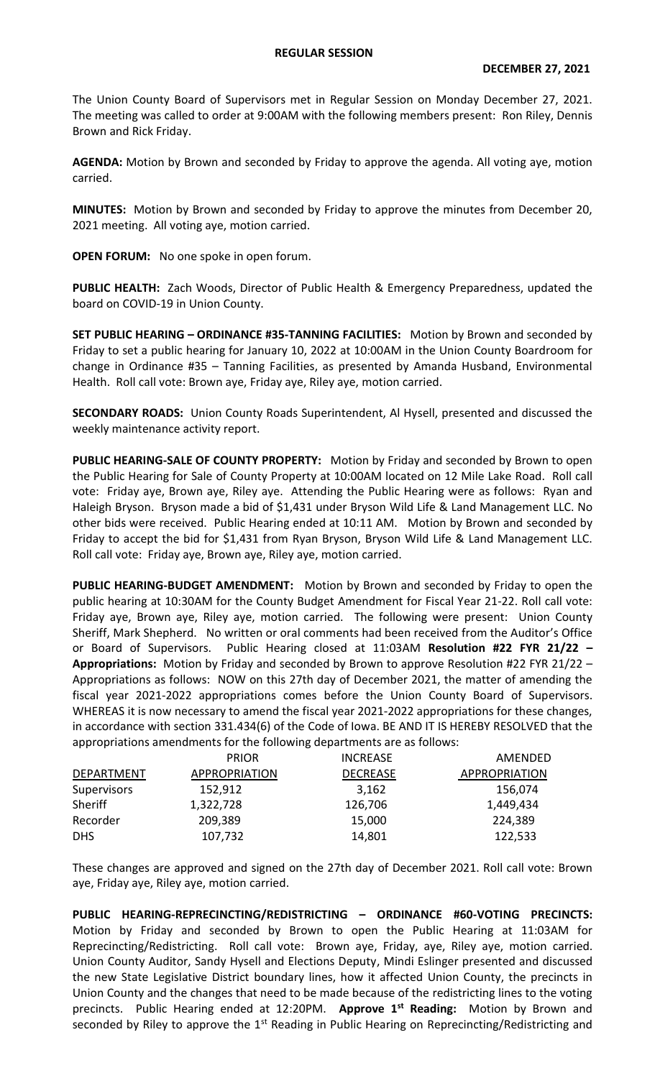## **REGULAR SESSION**

The Union County Board of Supervisors met in Regular Session on Monday December 27, 2021. The meeting was called to order at 9:00AM with the following members present: Ron Riley, Dennis Brown and Rick Friday.

**AGENDA:** Motion by Brown and seconded by Friday to approve the agenda. All voting aye, motion carried.

**MINUTES:** Motion by Brown and seconded by Friday to approve the minutes from December 20, 2021 meeting. All voting aye, motion carried.

**OPEN FORUM:** No one spoke in open forum.

**PUBLIC HEALTH:** Zach Woods, Director of Public Health & Emergency Preparedness, updated the board on COVID-19 in Union County.

**SET PUBLIC HEARING – ORDINANCE #35-TANNING FACILITIES:** Motion by Brown and seconded by Friday to set a public hearing for January 10, 2022 at 10:00AM in the Union County Boardroom for change in Ordinance #35 – Tanning Facilities, as presented by Amanda Husband, Environmental Health. Roll call vote: Brown aye, Friday aye, Riley aye, motion carried.

**SECONDARY ROADS:** Union County Roads Superintendent, Al Hysell, presented and discussed the weekly maintenance activity report.

**PUBLIC HEARING-SALE OF COUNTY PROPERTY:** Motion by Friday and seconded by Brown to open the Public Hearing for Sale of County Property at 10:00AM located on 12 Mile Lake Road. Roll call vote: Friday aye, Brown aye, Riley aye. Attending the Public Hearing were as follows: Ryan and Haleigh Bryson. Bryson made a bid of \$1,431 under Bryson Wild Life & Land Management LLC. No other bids were received. Public Hearing ended at 10:11 AM. Motion by Brown and seconded by Friday to accept the bid for \$1,431 from Ryan Bryson, Bryson Wild Life & Land Management LLC. Roll call vote: Friday aye, Brown aye, Riley aye, motion carried.

**PUBLIC HEARING-BUDGET AMENDMENT:** Motion by Brown and seconded by Friday to open the public hearing at 10:30AM for the County Budget Amendment for Fiscal Year 21-22. Roll call vote: Friday aye, Brown aye, Riley aye, motion carried. The following were present: Union County Sheriff, Mark Shepherd. No written or oral comments had been received from the Auditor's Office or Board of Supervisors. Public Hearing closed at 11:03AM **Resolution #22 FYR 21/22 – Appropriations:** Motion by Friday and seconded by Brown to approve Resolution #22 FYR 21/22 – Appropriations as follows: NOW on this 27th day of December 2021, the matter of amending the fiscal year 2021-2022 appropriations comes before the Union County Board of Supervisors. WHEREAS it is now necessary to amend the fiscal year 2021-2022 appropriations for these changes, in accordance with section 331.434(6) of the Code of Iowa. BE AND IT IS HEREBY RESOLVED that the appropriations amendments for the following departments are as follows:

|             | <b>PRIOR</b>         | <b>INCREASE</b> | AMENDED       |
|-------------|----------------------|-----------------|---------------|
| DEPARTMENT  | <b>APPROPRIATION</b> | <b>DECREASE</b> | APPROPRIATION |
| Supervisors | 152,912              | 3,162           | 156,074       |
| Sheriff     | 1,322,728            | 126,706         | 1,449,434     |
| Recorder    | 209,389              | 15,000          | 224,389       |
| <b>DHS</b>  | 107,732              | 14,801          | 122,533       |

These changes are approved and signed on the 27th day of December 2021. Roll call vote: Brown aye, Friday aye, Riley aye, motion carried.

**PUBLIC HEARING-REPRECINCTING/REDISTRICTING – ORDINANCE #60-VOTING PRECINCTS:**  Motion by Friday and seconded by Brown to open the Public Hearing at 11:03AM for Reprecincting/Redistricting. Roll call vote: Brown aye, Friday, aye, Riley aye, motion carried. Union County Auditor, Sandy Hysell and Elections Deputy, Mindi Eslinger presented and discussed the new State Legislative District boundary lines, how it affected Union County, the precincts in Union County and the changes that need to be made because of the redistricting lines to the voting precincts. Public Hearing ended at 12:20PM. **Approve 1 st Reading:** Motion by Brown and seconded by Riley to approve the 1<sup>st</sup> Reading in Public Hearing on Reprecincting/Redistricting and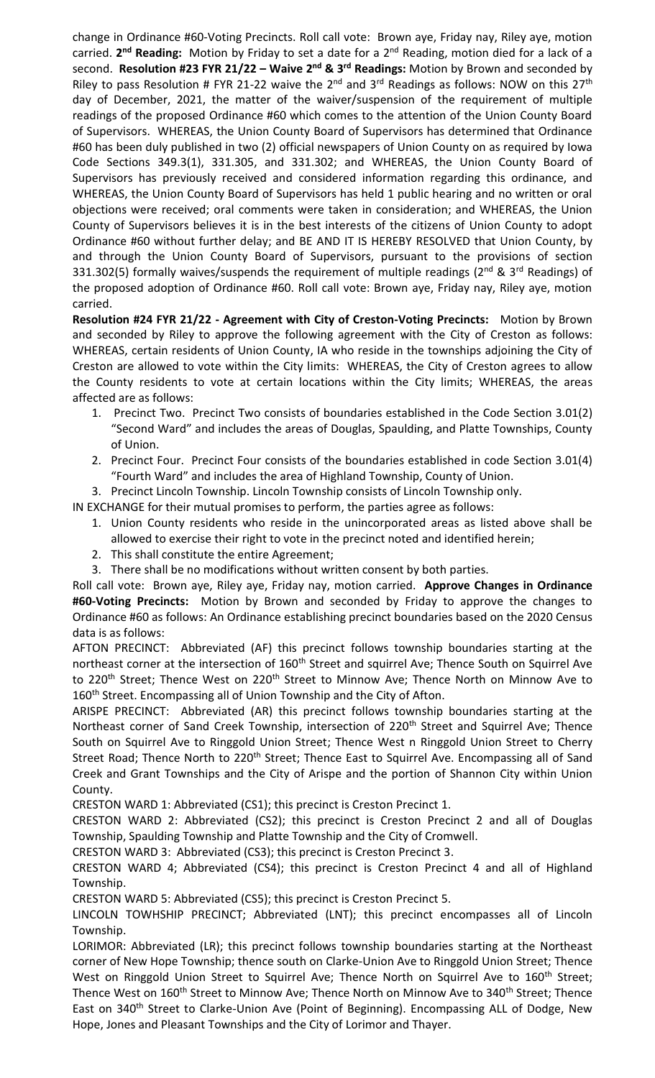change in Ordinance #60-Voting Precincts. Roll call vote: Brown aye, Friday nay, Riley aye, motion carried. 2<sup>nd</sup> Reading: Motion by Friday to set a date for a 2<sup>nd</sup> Reading, motion died for a lack of a second. **Resolution #23 FYR 21/22 – Waive 2 nd & 3rd Readings:** Motion by Brown and seconded by Riley to pass Resolution # FYR 21-22 waive the  $2^{nd}$  and  $3^{rd}$  Readings as follows: NOW on this  $27^{th}$ day of December, 2021, the matter of the waiver/suspension of the requirement of multiple readings of the proposed Ordinance #60 which comes to the attention of the Union County Board of Supervisors. WHEREAS, the Union County Board of Supervisors has determined that Ordinance #60 has been duly published in two (2) official newspapers of Union County on as required by Iowa Code Sections 349.3(1), 331.305, and 331.302; and WHEREAS, the Union County Board of Supervisors has previously received and considered information regarding this ordinance, and WHEREAS, the Union County Board of Supervisors has held 1 public hearing and no written or oral objections were received; oral comments were taken in consideration; and WHEREAS, the Union County of Supervisors believes it is in the best interests of the citizens of Union County to adopt Ordinance #60 without further delay; and BE AND IT IS HEREBY RESOLVED that Union County, by and through the Union County Board of Supervisors, pursuant to the provisions of section 331.302(5) formally waives/suspends the requirement of multiple readings (2<sup>nd</sup> & 3<sup>rd</sup> Readings) of the proposed adoption of Ordinance #60. Roll call vote: Brown aye, Friday nay, Riley aye, motion carried.

**Resolution #24 FYR 21/22 - Agreement with City of Creston-Voting Precincts:** Motion by Brown and seconded by Riley to approve the following agreement with the City of Creston as follows: WHEREAS, certain residents of Union County, IA who reside in the townships adjoining the City of Creston are allowed to vote within the City limits: WHEREAS, the City of Creston agrees to allow the County residents to vote at certain locations within the City limits; WHEREAS, the areas affected are as follows:

- 1. Precinct Two. Precinct Two consists of boundaries established in the Code Section 3.01(2) "Second Ward" and includes the areas of Douglas, Spaulding, and Platte Townships, County of Union.
- 2. Precinct Four. Precinct Four consists of the boundaries established in code Section 3.01(4) "Fourth Ward" and includes the area of Highland Township, County of Union.

3. Precinct Lincoln Township. Lincoln Township consists of Lincoln Township only.

IN EXCHANGE for their mutual promises to perform, the parties agree as follows:

- 1. Union County residents who reside in the unincorporated areas as listed above shall be allowed to exercise their right to vote in the precinct noted and identified herein;
- 2. This shall constitute the entire Agreement;
- 3. There shall be no modifications without written consent by both parties.

Roll call vote: Brown aye, Riley aye, Friday nay, motion carried. **Approve Changes in Ordinance #60-Voting Precincts:** Motion by Brown and seconded by Friday to approve the changes to Ordinance #60 as follows: An Ordinance establishing precinct boundaries based on the 2020 Census data is as follows:

AFTON PRECINCT: Abbreviated (AF) this precinct follows township boundaries starting at the northeast corner at the intersection of 160<sup>th</sup> Street and squirrel Ave; Thence South on Squirrel Ave to 220<sup>th</sup> Street; Thence West on 220<sup>th</sup> Street to Minnow Ave; Thence North on Minnow Ave to 160<sup>th</sup> Street. Encompassing all of Union Township and the City of Afton.

ARISPE PRECINCT: Abbreviated (AR) this precinct follows township boundaries starting at the Northeast corner of Sand Creek Township, intersection of 220<sup>th</sup> Street and Squirrel Ave; Thence South on Squirrel Ave to Ringgold Union Street; Thence West n Ringgold Union Street to Cherry Street Road; Thence North to 220<sup>th</sup> Street; Thence East to Squirrel Ave. Encompassing all of Sand Creek and Grant Townships and the City of Arispe and the portion of Shannon City within Union County.

CRESTON WARD 1: Abbreviated (CS1); this precinct is Creston Precinct 1.

CRESTON WARD 2: Abbreviated (CS2); this precinct is Creston Precinct 2 and all of Douglas Township, Spaulding Township and Platte Township and the City of Cromwell.

CRESTON WARD 3: Abbreviated (CS3); this precinct is Creston Precinct 3.

CRESTON WARD 4; Abbreviated (CS4); this precinct is Creston Precinct 4 and all of Highland Township.

CRESTON WARD 5: Abbreviated (CS5); this precinct is Creston Precinct 5.

LINCOLN TOWHSHIP PRECINCT; Abbreviated (LNT); this precinct encompasses all of Lincoln Township.

LORIMOR: Abbreviated (LR); this precinct follows township boundaries starting at the Northeast corner of New Hope Township; thence south on Clarke-Union Ave to Ringgold Union Street; Thence West on Ringgold Union Street to Squirrel Ave; Thence North on Squirrel Ave to 160<sup>th</sup> Street; Thence West on 160<sup>th</sup> Street to Minnow Ave; Thence North on Minnow Ave to 340<sup>th</sup> Street; Thence East on 340<sup>th</sup> Street to Clarke-Union Ave (Point of Beginning). Encompassing ALL of Dodge, New Hope, Jones and Pleasant Townships and the City of Lorimor and Thayer.